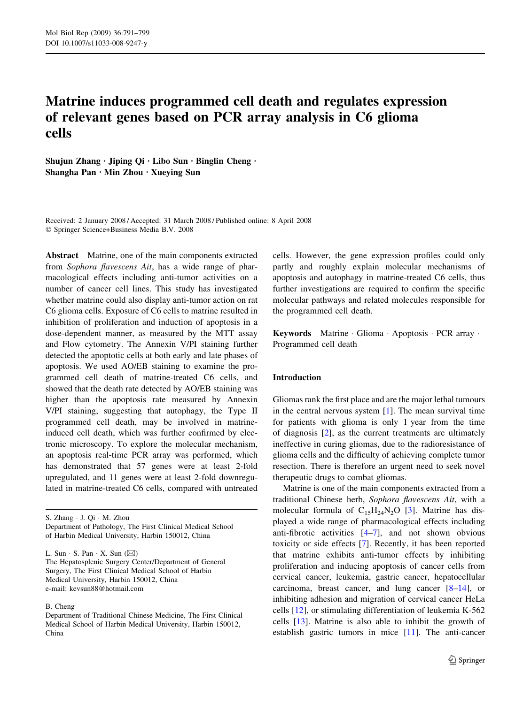# Matrine induces programmed cell death and regulates expression of relevant genes based on PCR array analysis in C6 glioma cells

Shujun Zhang  $\cdot$  Jiping Qi  $\cdot$  Libo Sun  $\cdot$  Binglin Cheng  $\cdot$ Shangha Pan  $\cdot$  Min Zhou  $\cdot$  Xueying Sun

Received: 2 January 2008 / Accepted: 31 March 2008 / Published online: 8 April 2008 Springer Science+Business Media B.V. 2008

Abstract Matrine, one of the main components extracted from Sophora flavescens Ait, has a wide range of pharmacological effects including anti-tumor activities on a number of cancer cell lines. This study has investigated whether matrine could also display anti-tumor action on rat C6 glioma cells. Exposure of C6 cells to matrine resulted in inhibition of proliferation and induction of apoptosis in a dose-dependent manner, as measured by the MTT assay and Flow cytometry. The Annexin V/PI staining further detected the apoptotic cells at both early and late phases of apoptosis. We used AO/EB staining to examine the programmed cell death of matrine-treated C6 cells, and showed that the death rate detected by AO/EB staining was higher than the apoptosis rate measured by Annexin V/PI staining, suggesting that autophagy, the Type II programmed cell death, may be involved in matrineinduced cell death, which was further confirmed by electronic microscopy. To explore the molecular mechanism, an apoptosis real-time PCR array was performed, which has demonstrated that 57 genes were at least 2-fold upregulated, and 11 genes were at least 2-fold downregulated in matrine-treated C6 cells, compared with untreated

S. Zhang · J. Qi · M. Zhou Department of Pathology, The First Clinical Medical School of Harbin Medical University, Harbin 150012, China

L. Sun  $\cdot$  S. Pan  $\cdot$  X. Sun  $(\boxtimes)$ 

The Hepatosplenic Surgery Center/Department of General Surgery, The First Clinical Medical School of Harbin Medical University, Harbin 150012, China e-mail: kevsun88@hotmail.com

#### B. Cheng

cells. However, the gene expression profiles could only partly and roughly explain molecular mechanisms of apoptosis and autophagy in matrine-treated C6 cells, thus further investigations are required to confirm the specific molecular pathways and related molecules responsible for the programmed cell death.

Keywords Matrine Glioma Apoptosis PCR array . Programmed cell death

#### Introduction

Gliomas rank the first place and are the major lethal tumours in the central nervous system  $[1]$  $[1]$ . The mean survival time for patients with glioma is only 1 year from the time of diagnosis [\[2](#page-7-0)], as the current treatments are ultimately ineffective in curing gliomas, due to the radioresistance of glioma cells and the difficulty of achieving complete tumor resection. There is therefore an urgent need to seek novel therapeutic drugs to combat gliomas.

Matrine is one of the main components extracted from a traditional Chinese herb, Sophora flavescens Ait, with a molecular formula of  $C_{15}H_{24}N_{2}O$  [[3\]](#page-7-0). Matrine has displayed a wide range of pharmacological effects including anti-fibrotic activities [\[4–7](#page-7-0)], and not shown obvious toxicity or side effects [[7\]](#page-7-0). Recently, it has been reported that matrine exhibits anti-tumor effects by inhibiting proliferation and inducing apoptosis of cancer cells from cervical cancer, leukemia, gastric cancer, hepatocellular carcinoma, breast cancer, and lung cancer  $[8-14]$ , or inhibiting adhesion and migration of cervical cancer HeLa cells [[12\]](#page-7-0), or stimulating differentiation of leukemia K-562 cells [[13](#page-7-0)]. Matrine is also able to inhibit the growth of establish gastric tumors in mice [\[11](#page-7-0)]. The anti-cancer

Department of Traditional Chinese Medicine, The First Clinical Medical School of Harbin Medical University, Harbin 150012, China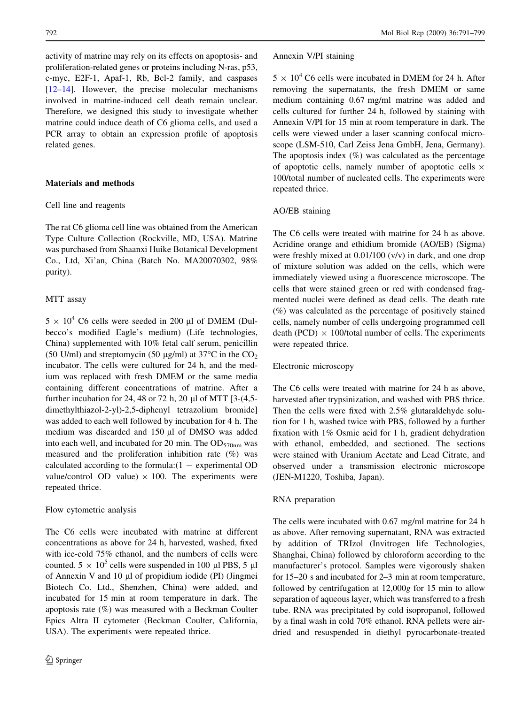activity of matrine may rely on its effects on apoptosis- and proliferation-related genes or proteins including N-ras, p53, c-myc, E2F-1, Apaf-1, Rb, Bcl-2 family, and caspases [\[12–14](#page-7-0)]. However, the precise molecular mechanisms involved in matrine-induced cell death remain unclear. Therefore, we designed this study to investigate whether matrine could induce death of C6 glioma cells, and used a PCR array to obtain an expression profile of apoptosis related genes.

## Materials and methods

#### Cell line and reagents

The rat C6 glioma cell line was obtained from the American Type Culture Collection (Rockville, MD, USA). Matrine was purchased from Shaanxi Huike Botanical Development Co., Ltd, Xi'an, China (Batch No. MA20070302, 98% purity).

#### MTT assay

 $5 \times 10^4$  C6 cells were seeded in 200 µl of DMEM (Dulbecco's modified Eagle's medium) (Life technologies, China) supplemented with 10% fetal calf serum, penicillin (50 U/ml) and streptomycin (50  $\mu$ g/ml) at 37°C in the CO<sub>2</sub> incubator. The cells were cultured for 24 h, and the medium was replaced with fresh DMEM or the same media containing different concentrations of matrine. After a further incubation for 24, 48 or 72 h, 20  $\mu$ l of MTT [3-(4,5dimethylthiazol-2-yl)-2,5-diphenyl tetrazolium bromide] was added to each well followed by incubation for 4 h. The medium was discarded and 150 µl of DMSO was added into each well, and incubated for 20 min. The  $OD_{570nm}$  was measured and the proliferation inhibition rate (%) was calculated according to the formula: $(1 -$  experimental OD value/control OD value)  $\times$  100. The experiments were repeated thrice.

#### Flow cytometric analysis

The C6 cells were incubated with matrine at different concentrations as above for 24 h, harvested, washed, fixed with ice-cold 75% ethanol, and the numbers of cells were counted.  $5 \times 10^5$  cells were suspended in 100 µl PBS, 5 µl of Annexin V and 10 µl of propidium iodide (PI) (Jingmei Biotech Co. Ltd., Shenzhen, China) were added, and incubated for 15 min at room temperature in dark. The apoptosis rate (%) was measured with a Beckman Coulter Epics Altra II cytometer (Beckman Coulter, California, USA). The experiments were repeated thrice.

#### Annexin V/PI staining

 $5 \times 10^4$  C6 cells were incubated in DMEM for 24 h. After removing the supernatants, the fresh DMEM or same medium containing 0.67 mg/ml matrine was added and cells cultured for further 24 h, followed by staining with Annexin V/PI for 15 min at room temperature in dark. The cells were viewed under a laser scanning confocal microscope (LSM-510, Carl Zeiss Jena GmbH, Jena, Germany). The apoptosis index  $(\%)$  was calculated as the percentage of apoptotic cells, namely number of apoptotic cells  $\times$ 100/total number of nucleated cells. The experiments were repeated thrice.

#### AO/EB staining

The C6 cells were treated with matrine for 24 h as above. Acridine orange and ethidium bromide (AO/EB) (Sigma) were freshly mixed at 0.01/100 (v/v) in dark, and one drop of mixture solution was added on the cells, which were immediately viewed using a fluorescence microscope. The cells that were stained green or red with condensed fragmented nuclei were defined as dead cells. The death rate (%) was calculated as the percentage of positively stained cells, namely number of cells undergoing programmed cell death (PCD)  $\times$  100/total number of cells. The experiments were repeated thrice.

#### Electronic microscopy

The C6 cells were treated with matrine for 24 h as above, harvested after trypsinization, and washed with PBS thrice. Then the cells were fixed with 2.5% glutaraldehyde solution for 1 h, washed twice with PBS, followed by a further fixation with 1% Osmic acid for 1 h, gradient dehydration with ethanol, embedded, and sectioned. The sections were stained with Uranium Acetate and Lead Citrate, and observed under a transmission electronic microscope (JEN-M1220, Toshiba, Japan).

#### RNA preparation

The cells were incubated with 0.67 mg/ml matrine for 24 h as above. After removing supernatant, RNA was extracted by addition of TRIzol (Invitrogen life Technologies, Shanghai, China) followed by chloroform according to the manufacturer's protocol. Samples were vigorously shaken for 15–20 s and incubated for 2–3 min at room temperature, followed by centrifugation at 12,000g for 15 min to allow separation of aqueous layer, which was transferred to a fresh tube. RNA was precipitated by cold isopropanol, followed by a final wash in cold 70% ethanol. RNA pellets were airdried and resuspended in diethyl pyrocarbonate-treated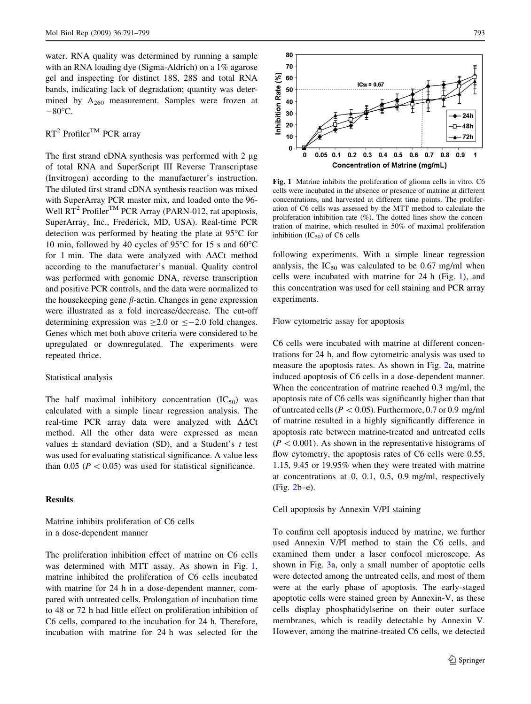water. RNA quality was determined by running a sample with an RNA loading dye (Sigma-Aldrich) on a 1% agarose gel and inspecting for distinct 18S, 28S and total RNA bands, indicating lack of degradation; quantity was determined by  $A_{260}$  measurement. Samples were frozen at  $-80\degree$ C.

# $RT^2$  Profiler<sup>TM</sup> PCR array

The first strand cDNA synthesis was performed with  $2 \mu$ g of total RNA and SuperScript III Reverse Transcriptase (Invitrogen) according to the manufacturer's instruction. The diluted first strand cDNA synthesis reaction was mixed with SuperArray PCR master mix, and loaded onto the 96- Well RT<sup>2</sup> Profiler<sup>TM</sup> PCR Array (PARN-012, rat apoptosis, SuperArray, Inc., Frederick, MD, USA). Real-time PCR detection was performed by heating the plate at  $95^{\circ}$ C for 10 min, followed by 40 cycles of  $95^{\circ}$ C for 15 s and 60 $^{\circ}$ C for 1 min. The data were analyzed with  $\Delta\Delta$ Ct method according to the manufacturer's manual. Quality control was performed with genomic DNA, reverse transcription and positive PCR controls, and the data were normalized to the house keeping gene  $\beta$ -actin. Changes in gene expression were illustrated as a fold increase/decrease. The cut-off determining expression was  $\geq 2.0$  or  $\leq -2.0$  fold changes. Genes which met both above criteria were considered to be upregulated or downregulated. The experiments were repeated thrice.

#### Statistical analysis

The half maximal inhibitory concentration  $(IC_{50})$  was calculated with a simple linear regression analysis. The real-time PCR array data were analyzed with  $\Delta\Delta$ Ct method. All the other data were expressed as mean values  $\pm$  standard deviation (SD), and a Student's t test was used for evaluating statistical significance. A value less than 0.05 ( $P < 0.05$ ) was used for statistical significance.

# **Results**

# Matrine inhibits proliferation of C6 cells in a dose-dependent manner

The proliferation inhibition effect of matrine on C6 cells was determined with MTT assay. As shown in Fig. 1, matrine inhibited the proliferation of C6 cells incubated with matrine for 24 h in a dose-dependent manner, compared with untreated cells. Prolongation of incubation time to 48 or 72 h had little effect on proliferation inhibition of C6 cells, compared to the incubation for 24 h. Therefore, incubation with matrine for 24 h was selected for the



Fig. 1 Matrine inhibits the proliferation of glioma cells in vitro. C6 cells were incubated in the absence or presence of matrine at different concentrations, and harvested at different time points. The proliferation of C6 cells was assessed by the MTT method to calculate the proliferation inhibition rate  $(\%)$ . The dotted lines show the concentration of matrine, which resulted in 50% of maximal proliferation inhibition  $(IC_{50})$  of C6 cells

following experiments. With a simple linear regression analysis, the  $IC_{50}$  was calculated to be 0.67 mg/ml when cells were incubated with matrine for 24 h (Fig. 1), and this concentration was used for cell staining and PCR array experiments.

Flow cytometric assay for apoptosis

C6 cells were incubated with matrine at different concentrations for 24 h, and flow cytometric analysis was used to measure the apoptosis rates. As shown in Fig. [2](#page-3-0)a, matrine induced apoptosis of C6 cells in a dose-dependent manner. When the concentration of matrine reached 0.3 mg/ml, the apoptosis rate of C6 cells was significantly higher than that of untreated cells ( $P < 0.05$ ). Furthermore, 0.7 or 0.9 mg/ml of matrine resulted in a highly significantly difference in apoptosis rate between matrine-treated and untreated cells  $(P<0.001)$ . As shown in the representative histograms of flow cytometry, the apoptosis rates of C6 cells were 0.55, 1.15, 9.45 or 19.95% when they were treated with matrine at concentrations at 0, 0.1, 0.5, 0.9 mg/ml, respectively (Fig. [2b](#page-3-0)–e).

Cell apoptosis by Annexin V/PI staining

To confirm cell apoptosis induced by matrine, we further used Annexin V/PI method to stain the C6 cells, and examined them under a laser confocol microscope. As shown in Fig. [3a](#page-4-0), only a small number of apoptotic cells were detected among the untreated cells, and most of them were at the early phase of apoptosis. The early-staged apoptotic cells were stained green by Annexin-V, as these cells display phosphatidylserine on their outer surface membranes, which is readily detectable by Annexin V. However, among the matrine-treated C6 cells, we detected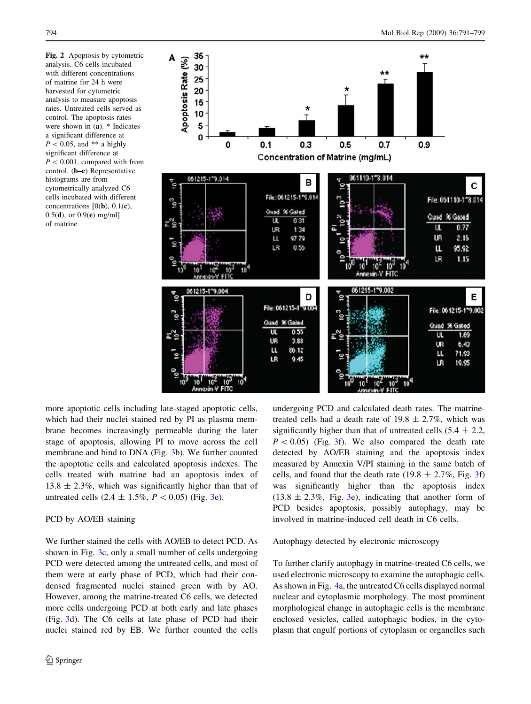<span id="page-3-0"></span>Fig. 2 Apoptosis by cytometric analysis. C6 cells incubated with different concentrations of matrine for 24 h were harvested for cytometric analysis to measure apoptosis rates. Untreated cells served as control. The apoptosis rates were shown in (a). \* Indicates a significant difference at  $P < 0.05$ , and \*\* a highly significant difference at  $P<0.001$ , compared with from control. (b–e) Representative histograms are from cytometrically analyzed C6 cells incubated with different concentrations  $[0(\mathbf{b}), 0.1(\mathbf{c}),$  $0.5(d)$ , or  $0.9(e)$  mg/ml] of matrine



more apoptotic cells including late-staged apoptotic cells, which had their nuclei stained red by PI as plasma membrane becomes increasingly permeable during the later stage of apoptosis, allowing PI to move across the cell membrane and bind to DNA (Fig. [3b](#page-4-0)). We further counted the apoptotic cells and calculated apoptosis indexes. The cells treated with matrine had an apoptosis index of  $13.8 \pm 2.3\%$ , which was significantly higher than that of untreated cells  $(2.4 \pm 1.5\%, P < 0.05)$  (Fig. [3](#page-4-0)e).

## PCD by AO/EB staining

We further stained the cells with AO/EB to detect PCD. As shown in Fig. [3c](#page-4-0), only a small number of cells undergoing PCD were detected among the untreated cells, and most of them were at early phase of PCD, which had their condensed fragmented nuclei stained green with by AO. However, among the matrine-treated C6 cells, we detected more cells undergoing PCD at both early and late phases (Fig. [3](#page-4-0)d). The C6 cells at late phase of PCD had their nuclei stained red by EB. We further counted the cells

undergoing PCD and calculated death rates. The matrinetreated cells had a death rate of  $19.8 \pm 2.7\%$ , which was significantly higher than that of untreated cells  $(5.4 \pm 2.2,$  $P < 0.05$ ) (Fig. [3f](#page-4-0)). We also compared the death rate detected by AO/EB staining and the apoptosis index measured by Annexin V/PI staining in the same batch of cells, and found that the death rate (19.8  $\pm$  2.7%, Fig. [3f](#page-4-0)) was significantly higher than the apoptosis index  $(13.8 \pm 2.3\%)$  $(13.8 \pm 2.3\%)$  $(13.8 \pm 2.3\%)$ , Fig. 3e), indicating that another form of PCD besides apoptosis, possibly autophagy, may be involved in matrine-induced cell death in C6 cells.

Autophagy detected by electronic microscopy

To further clarify autophagy in matrine-treated C6 cells, we used electronic microscopy to examine the autophagic cells. As shown in Fig. [4](#page-5-0)a, the untreated C6 cells displayed normal nuclear and cytoplasmic morphology. The most prominent morphological change in autophagic cells is the membrane enclosed vesicles, called autophagic bodies, in the cytoplasm that engulf portions of cytoplasm or organelles such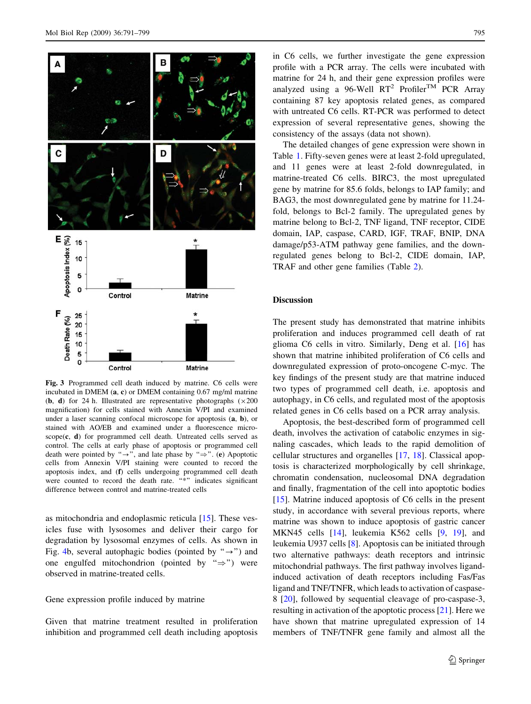<span id="page-4-0"></span>

Fig. 3 Programmed cell death induced by matrine. C6 cells were incubated in DMEM (a, c) or DMEM containing 0.67 mg/ml matrine (**b**, **d**) for 24 h. Illustrated are representative photographs  $(\times 200$ magnification) for cells stained with Annexin V/PI and examined under a laser scanning confocal microscope for apoptosis (a, b), or stained with AO/EB and examined under a fluorescence micro $scope(c, d)$  for programmed cell death. Untreated cells served as control. The cells at early phase of apoptosis or programmed cell death were pointed by " $\rightarrow$ ", and late phase by " $\Rightarrow$ ". (e) Apoptotic cells from Annexin V/PI staining were counted to record the apoptosis index, and (f) cells undergoing programmed cell death were counted to record the death rate. "\*" indicates significant difference between control and matrine-treated cells

as mitochondria and endoplasmic reticula [[15\]](#page-7-0). These vesicles fuse with lysosomes and deliver their cargo for degradation by lysosomal enzymes of cells. As shown in Fig. [4](#page-5-0)b, several autophagic bodies (pointed by " $\rightarrow$ ") and one engulfed mitochondrion (pointed by " $\Rightarrow$ ") were observed in matrine-treated cells.

# Gene expression profile induced by matrine

Given that matrine treatment resulted in proliferation inhibition and programmed cell death including apoptosis in C6 cells, we further investigate the gene expression profile with a PCR array. The cells were incubated with matrine for 24 h, and their gene expression profiles were analyzed using a 96-Well  $RT^2$  Profiler<sup>TM</sup> PCR Array containing 87 key apoptosis related genes, as compared with untreated C6 cells. RT-PCR was performed to detect expression of several representative genes, showing the consistency of the assays (data not shown).

The detailed changes of gene expression were shown in Table [1](#page-6-0). Fifty-seven genes were at least 2-fold upregulated, and 11 genes were at least 2-fold downregulated, in matrine-treated C6 cells. BIRC3, the most upregulated gene by matrine for 85.6 folds, belongs to IAP family; and BAG3, the most downregulated gene by matrine for 11.24 fold, belongs to Bcl-2 family. The upregulated genes by matrine belong to Bcl-2, TNF ligand, TNF receptor, CIDE domain, IAP, caspase, CARD, IGF, TRAF, BNIP, DNA damage/p53-ATM pathway gene families, and the downregulated genes belong to Bcl-2, CIDE domain, IAP, TRAF and other gene families (Table [2](#page-7-0)).

### Discussion

The present study has demonstrated that matrine inhibits proliferation and induces programmed cell death of rat glioma C6 cells in vitro. Similarly, Deng et al. [\[16](#page-7-0)] has shown that matrine inhibited proliferation of C6 cells and downregulated expression of proto-oncogene C-myc. The key findings of the present study are that matrine induced two types of programmed cell death, i.e. apoptosis and autophagy, in C6 cells, and regulated most of the apoptosis related genes in C6 cells based on a PCR array analysis.

Apoptosis, the best-described form of programmed cell death, involves the activation of catabolic enzymes in signaling cascades, which leads to the rapid demolition of cellular structures and organelles [\[17](#page-8-0), [18\]](#page-8-0). Classical apoptosis is characterized morphologically by cell shrinkage, chromatin condensation, nucleosomal DNA degradation and finally, fragmentation of the cell into apoptotic bodies [\[15](#page-7-0)]. Matrine induced apoptosis of C6 cells in the present study, in accordance with several previous reports, where matrine was shown to induce apoptosis of gastric cancer MKN45 cells [\[14](#page-7-0)], leukemia K562 cells [\[9](#page-7-0), [19\]](#page-8-0), and leukemia U937 cells [[8\]](#page-7-0). Apoptosis can be initiated through two alternative pathways: death receptors and intrinsic mitochondrial pathways. The first pathway involves ligandinduced activation of death receptors including Fas/Fas ligand and TNF/TNFR, which leads to activation of caspase-8 [\[20](#page-8-0)], followed by sequential cleavage of pro-caspase-3, resulting in activation of the apoptotic process [\[21](#page-8-0)]. Here we have shown that matrine upregulated expression of 14 members of TNF/TNFR gene family and almost all the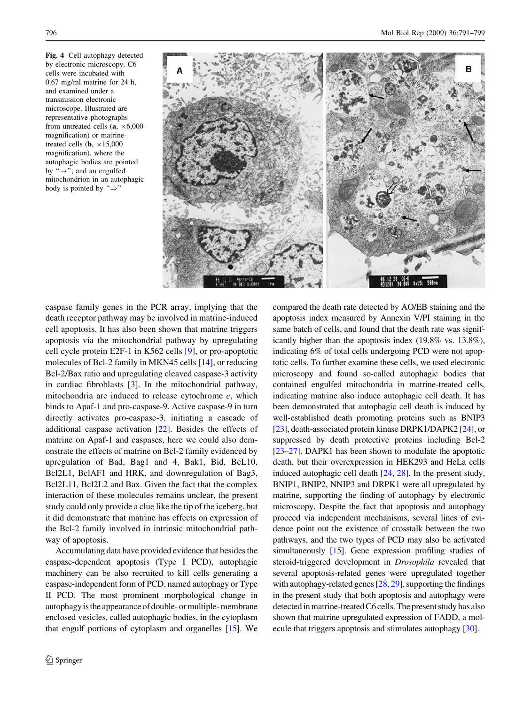<span id="page-5-0"></span>Fig. 4 Cell autophagy detected by electronic microscopy. C6 cells were incubated with 0.67 mg/ml matrine for 24 h, and examined under a transmission electronic microscope. Illustrated are representative photographs from untreated cells  $(a, \times 6,000)$ magnification) or matrinetreated cells (**b**,  $\times 15,000$ magnification), where the autophagic bodies are pointed by " $\rightarrow$ ", and an engulfed mitochondrion in an autophagic body is pointed by " $\Rightarrow$ "



caspase family genes in the PCR array, implying that the death receptor pathway may be involved in matrine-induced cell apoptosis. It has also been shown that matrine triggers apoptosis via the mitochondrial pathway by upregulating cell cycle protein E2F-1 in K562 cells [[9\]](#page-7-0), or pro-apoptotic molecules of Bcl-2 family in MKN45 cells [[14\]](#page-7-0), or reducing Bcl-2/Bax ratio and upregulating cleaved caspase-3 activity in cardiac fibroblasts [[3\]](#page-7-0). In the mitochondrial pathway, mitochondria are induced to release cytochrome  $c$ , which binds to Apaf-1 and pro-caspase-9. Active caspase-9 in turn directly activates pro-caspase-3, initiating a cascade of additional caspase activation [[22\]](#page-8-0). Besides the effects of matrine on Apaf-1 and caspases, here we could also demonstrate the effects of matrine on Bcl-2 family evidenced by upregulation of Bad, Bag1 and 4, Bak1, Bid, BcL10, Bcl2L1, BclAF1 and HRK, and downregulation of Bag3, Bcl2L11, Bcl2L2 and Bax. Given the fact that the complex interaction of these molecules remains unclear, the present study could only provide a clue like the tip of the iceberg, but it did demonstrate that matrine has effects on expression of the Bcl-2 family involved in intrinsic mitochondrial pathway of apoptosis.

Accumulating data have provided evidence that besides the caspase-dependent apoptosis (Type I PCD), autophagic machinery can be also recruited to kill cells generating a caspase-independent form of PCD, named autophagy or Type II PCD. The most prominent morphological change in autophagy is the appearance of double- or multiple- membrane enclosed vesicles, called autophagic bodies, in the cytoplasm that engulf portions of cytoplasm and organelles [\[15\]](#page-7-0). We compared the death rate detected by AO/EB staining and the apoptosis index measured by Annexin V/PI staining in the same batch of cells, and found that the death rate was significantly higher than the apoptosis index (19.8% vs. 13.8%), indicating 6% of total cells undergoing PCD were not apoptotic cells. To further examine these cells, we used electronic microscopy and found so-called autophagic bodies that contained engulfed mitochondria in matrine-treated cells, indicating matrine also induce autophagic cell death. It has been demonstrated that autophagic cell death is induced by well-established death promoting proteins such as BNIP3 [\[23](#page-8-0)], death-associated protein kinase DRPK1/DAPK2 [[24\]](#page-8-0), or suppressed by death protective proteins including Bcl-2 [\[23–27\]](#page-8-0). DAPK1 has been shown to modulate the apoptotic death, but their overexpression in HEK293 and HeLa cells induced autophagic cell death [\[24,](#page-8-0) [28](#page-8-0)]. In the present study, BNIP1, BNIP2, NNIP3 and DRPK1 were all upregulated by matrine, supporting the finding of autophagy by electronic microscopy. Despite the fact that apoptosis and autophagy proceed via independent mechanisms, several lines of evidence point out the existence of crosstalk between the two pathways, and the two types of PCD may also be activated simultaneously [\[15](#page-7-0)]. Gene expression profiling studies of steroid-triggered development in Drosophila revealed that several apoptosis-related genes were upregulated together with autophagy-related genes [[28](#page-8-0), [29](#page-8-0)], supporting the findings in the present study that both apoptosis and autophagy were detected in matrine-treated C6 cells. The present study has also shown that matrine upregulated expression of FADD, a molecule that triggers apoptosis and stimulates autophagy [\[30](#page-8-0)].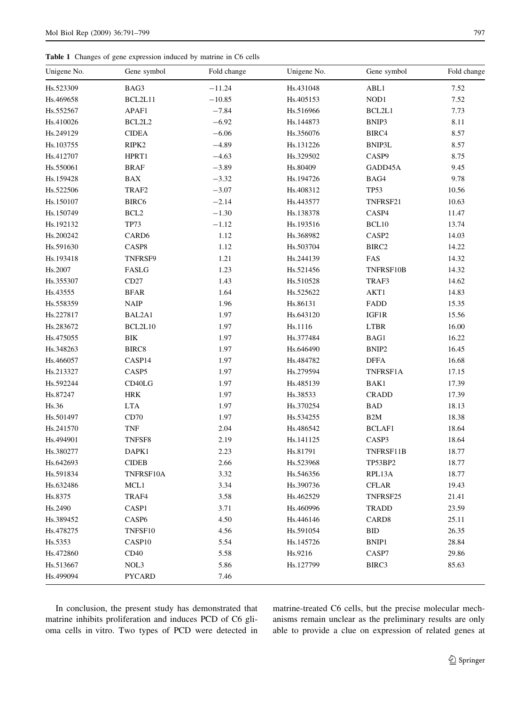<span id="page-6-0"></span>Table 1 Changes of gene expression induced by matrine in C6 cells

| Unigene No. | Gene symbol                           | Fold change | Unigene No. | Gene symbol       | Fold change |
|-------------|---------------------------------------|-------------|-------------|-------------------|-------------|
| Hs.523309   | BAG3                                  | $-11.24$    | Hs.431048   | ABL1              | 7.52        |
| Hs.469658   | BCL2L11                               | $-10.85$    | Hs.405153   | $\rm{NOD1}$       | 7.52        |
| Hs.552567   | APAF1                                 | $-7.84$     | Hs.516966   | BCL2L1            | 7.73        |
| Hs.410026   | BCL2L2                                | $-6.92$     | Hs.144873   | BNIP3             | 8.11        |
| Hs.249129   | <b>CIDEA</b>                          | $-6.06$     | Hs.356076   | BIRC4             | 8.57        |
| Hs.103755   | RIPK2                                 | $-4.89$     | Hs.131226   | BNIP3L            | 8.57        |
| Hs.412707   | HPRT1                                 | $-4.63$     | Hs.329502   | CASP9             | 8.75        |
| Hs.550061   | <b>BRAF</b>                           | $-3.89$     | Hs.80409    | GADD45A           | 9.45        |
| Hs.159428   | <b>BAX</b>                            | $-3.32$     | Hs.194726   | BAG4              | 9.78        |
| Hs.522506   | TRAF2                                 | $-3.07$     | Hs.408312   | <b>TP53</b>       | 10.56       |
| Hs.150107   | BIRC <sub>6</sub>                     | $-2.14$     | Hs.443577   | TNFRSF21          | 10.63       |
| Hs.150749   | BCL <sub>2</sub>                      | $-1.30$     | Hs.138378   | CASP4             | 11.47       |
| Hs.192132   | <b>TP73</b>                           | $-1.12$     | Hs.193516   | BCL10             | 13.74       |
| Hs.200242   | CARD <sub>6</sub>                     | 1.12        | Hs.368982   | CASP2             | 14.03       |
| Hs.591630   | CASP8                                 | 1.12        | Hs.503704   | BIRC <sub>2</sub> | 14.22       |
| Hs.193418   | TNFRSF9                               | 1.21        | Hs.244139   | FAS               | 14.32       |
| Hs.2007     | FASLG                                 | 1.23        | Hs.521456   | TNFRSF10B         | 14.32       |
| Hs.355307   | CD27                                  | 1.43        | Hs.510528   | TRAF3             | 14.62       |
| Hs.43555    | <b>BFAR</b>                           | 1.64        | Hs.525622   | AKT1              | 14.83       |
| Hs.558359   | $\ensuremath{\mathsf{N}\mathsf{AIP}}$ | 1.96        | Hs.86131    | FADD              | 15.35       |
| Hs.227817   | BAL2A1                                | 1.97        | Hs.643120   | IGF1R             | 15.56       |
| Hs.283672   | BCL2L10                               | 1.97        | Hs.1116     | <b>LTBR</b>       | 16.00       |
| Hs.475055   | ${\rm BIK}$                           | 1.97        | Hs.377484   | BAG1              | 16.22       |
| Hs.348263   | BIRC8                                 | 1.97        | Hs.646490   | BNIP2             | 16.45       |
| Hs.466057   | CASP14                                | 1.97        | Hs.484782   | <b>DFFA</b>       | 16.68       |
| Hs.213327   | CASP5                                 | 1.97        | Hs.279594   | TNFRSF1A          | 17.15       |
| Hs.592244   | CD40LG                                | 1.97        | Hs.485139   | BAK1              | 17.39       |
| Hs.87247    | <b>HRK</b>                            | 1.97        | Hs.38533    | <b>CRADD</b>      | 17.39       |
| Hs.36       | <b>LTA</b>                            | 1.97        | Hs.370254   | <b>BAD</b>        | 18.13       |
| Hs.501497   | CD70                                  | 1.97        | Hs.534255   | B <sub>2</sub> M  | 18.38       |
| Hs.241570   | TNF                                   | 2.04        | Hs.486542   | <b>BCLAF1</b>     | 18.64       |
| Hs.494901   | TNFSF8                                | 2.19        | Hs.141125   | CASP3             | 18.64       |
| Hs.380277   | DAPK1                                 | 2.23        | Hs.81791    | TNFRSF11B         | 18.77       |
| Hs.642693   | <b>CIDEB</b>                          | 2.66        | Hs.523968   | TP53BP2           | 18.77       |
| Hs.591834   | TNFRSF10A                             | 3.32        | Hs.546356   | RPL13A            | 18.77       |
| Hs.632486   | MCL1                                  | 3.34        | Hs.390736   | <b>CFLAR</b>      | 19.43       |
| Hs.8375     | TRAF4                                 | 3.58        | Hs.462529   | TNFRSF25          | 21.41       |
| Hs.2490     | CASP1                                 | 3.71        | Hs.460996   | TRADD             | 23.59       |
| Hs.389452   | CASP <sub>6</sub>                     | 4.50        | Hs.446146   | CARD <sub>8</sub> | 25.11       |
| Hs.478275   | TNFSF10                               | 4.56        | Hs.591054   | <b>BID</b>        | 26.35       |
| Hs.5353     | CASP10                                | 5.54        | Hs.145726   | BNIP1             | 28.84       |
| Hs.472860   | CD40                                  | 5.58        | Hs.9216     | CASP7             | 29.86       |
| Hs.513667   | NOL3                                  | 5.86        | Hs.127799   | BIRC3             | 85.63       |
| Hs.499094   | <b>PYCARD</b>                         | 7.46        |             |                   |             |

In conclusion, the present study has demonstrated that matrine inhibits proliferation and induces PCD of C6 glioma cells in vitro. Two types of PCD were detected in matrine-treated C6 cells, but the precise molecular mechanisms remain unclear as the preliminary results are only able to provide a clue on expression of related genes at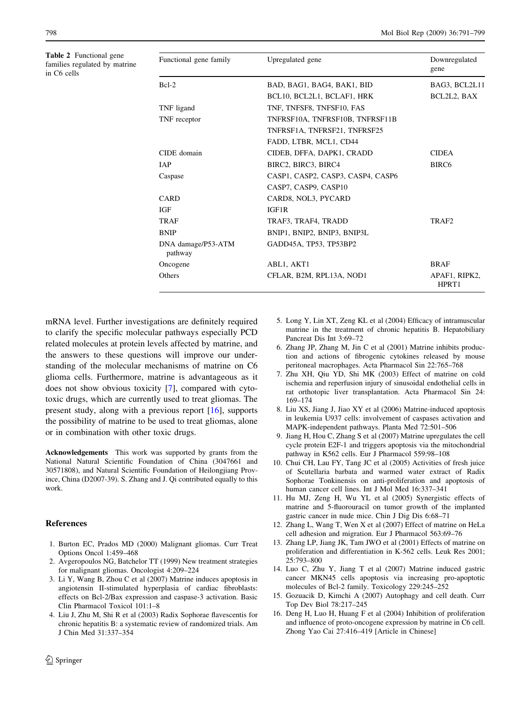Table 2 Functional gene families regulated by matrine in C6 cells

<span id="page-7-0"></span>

| 798 | -799<br>Mol Biol Rep (2009) 36:791-7<br>the contract of the contract of the contract of the contract of the contract of the contract of the contract of<br>.<br>$\sim$ $\sim$ $\sim$ |
|-----|--------------------------------------------------------------------------------------------------------------------------------------------------------------------------------------|
|     |                                                                                                                                                                                      |

| Functional gene family        | Upregulated gene                  | Downregulated<br>gene  |
|-------------------------------|-----------------------------------|------------------------|
| $Bcl-2$                       | BAD, BAG1, BAG4, BAK1, BID        | BAG3, BCL2L11          |
|                               | BCL10, BCL2L1, BCLAF1, HRK        | BCL2L2, BAX            |
| TNF ligand                    | TNF, TNFSF8, TNFSF10, FAS         |                        |
| TNF receptor                  | TNFRSF10A, TNFRSF10B, TNFRSF11B   |                        |
|                               | TNFRSF1A, TNFRSF21, TNFRSF25      |                        |
|                               | FADD, LTBR, MCL1, CD44            |                        |
| CIDE domain                   | CIDEB, DFFA, DAPK1, CRADD         | <b>CIDEA</b>           |
| IAP                           | BIRC2, BIRC3, BIRC4               | BIRC <sub>6</sub>      |
| Caspase                       | CASP1, CASP2, CASP3, CASP4, CASP6 |                        |
|                               | CASP7, CASP9, CASP10              |                        |
| CARD                          | CARD8, NOL3, PYCARD               |                        |
| IGF                           | IGF1R                             |                        |
| TRAF                          | TRAF3, TRAF4, TRADD               | TRAF <sub>2</sub>      |
| <b>BNIP</b>                   | BNIP1, BNIP2, BNIP3, BNIP3L       |                        |
| DNA damage/P53-ATM<br>pathway | GADD45A, TP53, TP53BP2            |                        |
| Oncogene                      | ABL1, AKT1                        | <b>BRAF</b>            |
| Others                        | CFLAR, B2M, RPL13A, NOD1          | APAF1, RIPK2,<br>HPRT1 |

mRNA level. Further investigations are definitely required to clarify the specific molecular pathways especially PCD related molecules at protein levels affected by matrine, and the answers to these questions will improve our understanding of the molecular mechanisms of matrine on C6 glioma cells. Furthermore, matrine is advantageous as it does not show obvious toxicity [7], compared with cytotoxic drugs, which are currently used to treat gliomas. The present study, along with a previous report [16], supports the possibility of matrine to be used to treat gliomas, alone or in combination with other toxic drugs.

Acknowledgements This work was supported by grants from the National Natural Scientific Foundation of China (3047661 and 30571808), and Natural Scientific Foundation of Heilongjiang Province, China (D2007-39). S. Zhang and J. Qi contributed equally to this work.

# References

- 1. Burton EC, Prados MD (2000) Malignant gliomas. Curr Treat Options Oncol 1:459–468
- 2. Avgeropoulos NG, Batchelor TT (1999) New treatment strategies for malignant gliomas. Oncologist 4:209–224
- 3. Li Y, Wang B, Zhou C et al (2007) Matrine induces apoptosis in angiotensin II-stimulated hyperplasia of cardiac fibroblasts: effects on Bcl-2/Bax expression and caspase-3 activation. Basic Clin Pharmacol Toxicol 101:1–8
- 4. Liu J, Zhu M, Shi R et al (2003) Radix Sophorae flavescentis for chronic hepatitis B: a systematic review of randomized trials. Am J Chin Med 31:337–354
- 5. Long Y, Lin XT, Zeng KL et al (2004) Efficacy of intramuscular matrine in the treatment of chronic hepatitis B. Hepatobiliary Pancreat Dis Int 3:69–72
- 6. Zhang JP, Zhang M, Jin C et al (2001) Matrine inhibits production and actions of fibrogenic cytokines released by mouse peritoneal macrophages. Acta Pharmacol Sin 22:765–768
- 7. Zhu XH, Qiu YD, Shi MK (2003) Effect of matrine on cold ischemia and reperfusion injury of sinusoidal endothelial cells in rat orthotopic liver transplantation. Acta Pharmacol Sin 24: 169–174
- 8. Liu XS, Jiang J, Jiao XY et al (2006) Matrine-induced apoptosis in leukemia U937 cells: involvement of caspases activation and MAPK-independent pathways. Planta Med 72:501–506
- 9. Jiang H, Hou C, Zhang S et al (2007) Matrine upregulates the cell cycle protein E2F-1 and triggers apoptosis via the mitochondrial pathway in K562 cells. Eur J Pharmacol 559:98–108
- 10. Chui CH, Lau FY, Tang JC et al (2005) Activities of fresh juice of Scutellaria barbata and warmed water extract of Radix Sophorae Tonkinensis on anti-proliferation and apoptosis of human cancer cell lines. Int J Mol Med 16:337–341
- 11. Hu MJ, Zeng H, Wu YL et al (2005) Synergistic effects of matrine and 5-fluorouracil on tumor growth of the implanted gastric cancer in nude mice. Chin J Dig Dis 6:68–71
- 12. Zhang L, Wang T, Wen X et al (2007) Effect of matrine on HeLa cell adhesion and migration. Eur J Pharmacol 563:69–76
- 13. Zhang LP, Jiang JK, Tam JWO et al (2001) Effects of matrine on proliferation and differentiation in K-562 cells. Leuk Res 2001; 25:793–800
- 14. Luo C, Zhu Y, Jiang T et al (2007) Matrine induced gastric cancer MKN45 cells apoptosis via increasing pro-apoptotic molecules of Bcl-2 family. Toxicology 229:245–252
- 15. Gozuacik D, Kimchi A (2007) Autophagy and cell death. Curr Top Dev Biol 78:217–245
- 16. Deng H, Luo H, Huang F et al (2004) Inhibition of proliferation and influence of proto-oncogene expression by matrine in C6 cell. Zhong Yao Cai 27:416–419 [Article in Chinese]